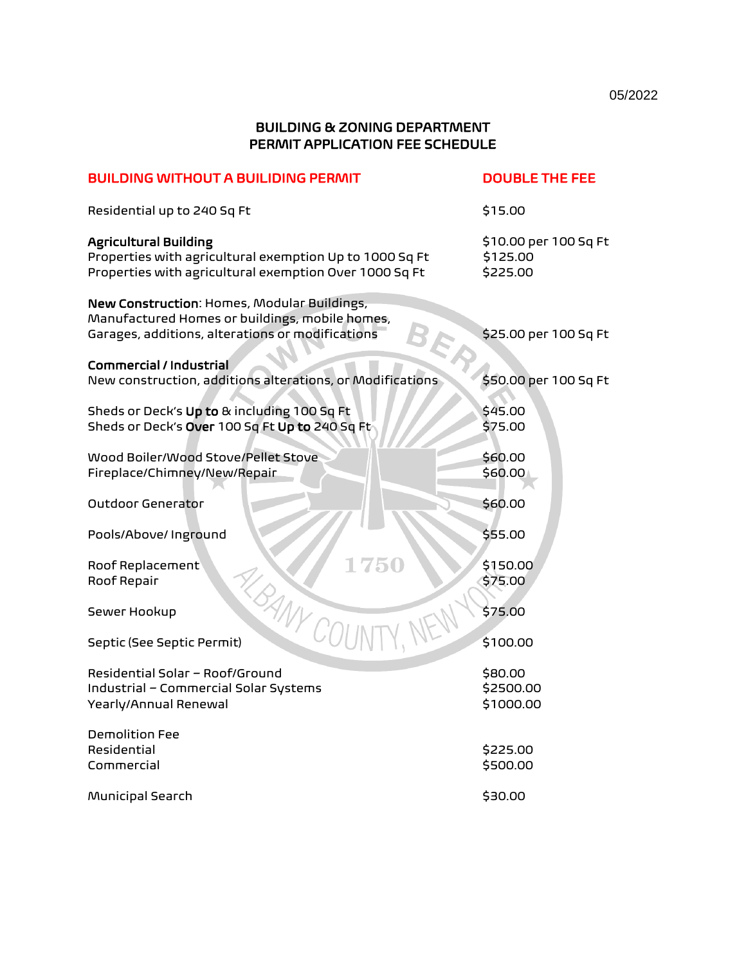## BUILDING & ZONING DEPARTMENT PERMIT APPLICATION FEE SCHEDULE

| <b>BUILDING WITHOUT A BUILIDING PERMIT</b>                                                                                                        | <b>DOUBLE THE FEE</b>                         |
|---------------------------------------------------------------------------------------------------------------------------------------------------|-----------------------------------------------|
| Residential up to 240 Sq Ft                                                                                                                       | \$15.00                                       |
| <b>Agricultural Building</b><br>Properties with agricultural exemption Up to 1000 Sq Ft<br>Properties with agricultural exemption Over 1000 Sq Ft | \$10.00 per 100 Sq Ft<br>\$125.00<br>\$225.00 |
| New Construction: Homes, Modular Buildings,<br>Manufactured Homes or buildings, mobile homes,<br>Garages, additions, alterations or modifications | \$25.00 per 100 Sq Ft                         |
| <b>Commercial / Industrial</b><br>New construction, additions alterations, or Modifications                                                       | \$50.00 per 100 Sq Ft                         |
| Sheds or Deck's Up to & including 100 Sq Ft<br>Sheds or Deck's Over 100 Sq Ft Up to 240 Sq Ft                                                     | \$45.00<br>\$75.00                            |
| Wood Boiler/Wood Stove/Pellet Stove<br>Fireplace/Chimney/New/Repair                                                                               | \$60.00<br>\$60.00                            |
| Outdoor Generator                                                                                                                                 | \$60.00                                       |
| Pools/Above/ Inground                                                                                                                             | \$55.00                                       |
| <b>1750</b><br>Roof Replacement<br>Roof Repair                                                                                                    | \$150.00<br>\$75.00                           |
| <b>SANY COUN</b><br>Sewer Hookup                                                                                                                  | \$75.00                                       |
| Septic (See Septic Permit)                                                                                                                        | \$100.00                                      |
| Residential Solar - Roof/Ground<br>Industrial - Commercial Solar Systems<br>Yearly/Annual Renewal                                                 | \$80.00<br>\$2500.00<br>\$1000.00             |
| Demolition Fee<br>Residential<br>Commercial                                                                                                       | \$225.00<br>\$500.00                          |
| Municipal Search                                                                                                                                  | \$30.00                                       |